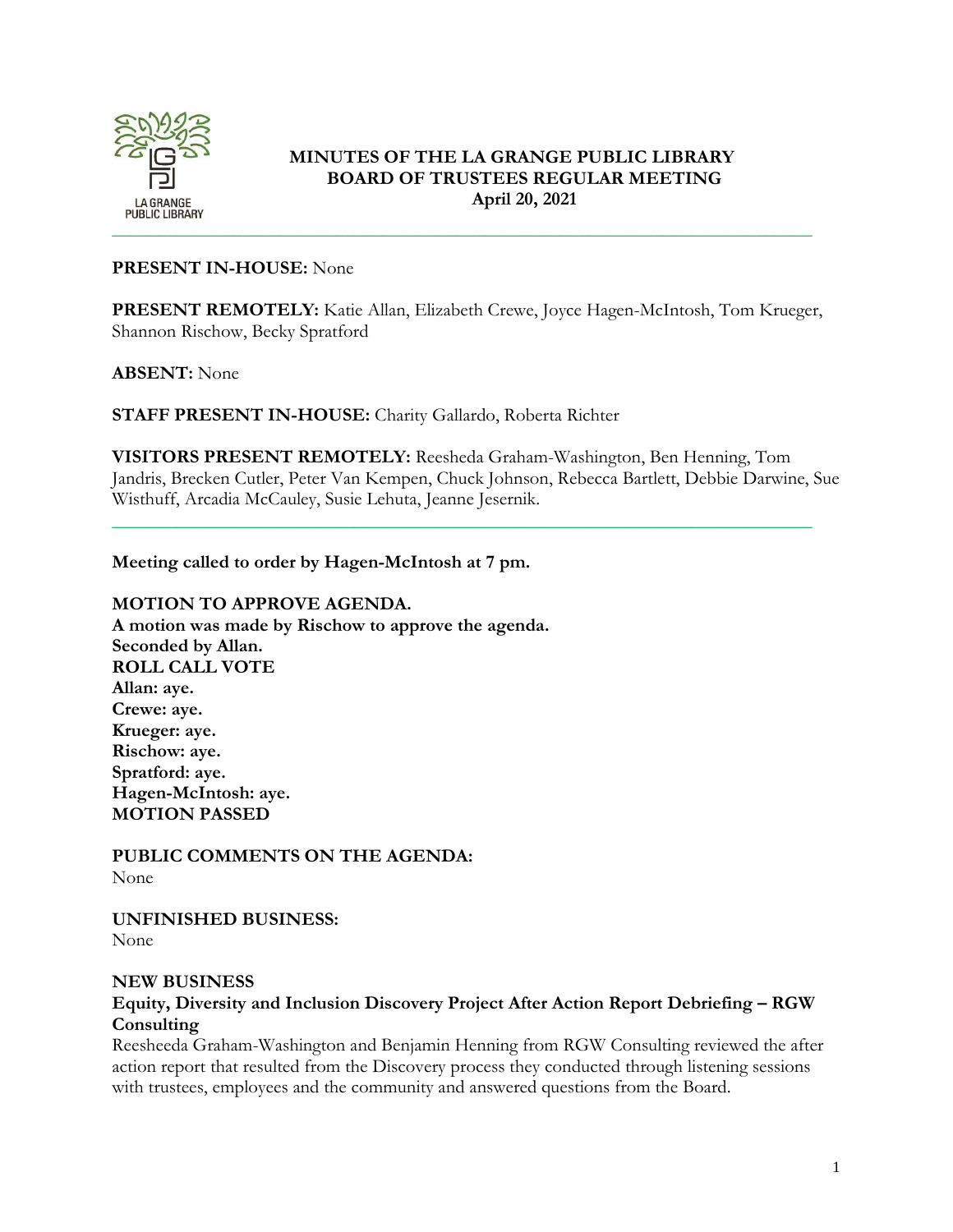

# **MINUTES OF THE LA GRANGE PUBLIC LIBRARY BOARD OF TRUSTEES REGULAR MEETING April 20, 2021**

### **PRESENT IN-HOUSE:** None

**PRESENT REMOTELY:** Katie Allan, Elizabeth Crewe, Joyce Hagen-McIntosh, Tom Krueger, Shannon Rischow, Becky Spratford

### **ABSENT:** None

**STAFF PRESENT IN-HOUSE:** Charity Gallardo, Roberta Richter

**VISITORS PRESENT REMOTELY:** Reesheda Graham-Washington, Ben Henning, Tom Jandris, Brecken Cutler, Peter Van Kempen, Chuck Johnson, Rebecca Bartlett, Debbie Darwine, Sue Wisthuff, Arcadia McCauley, Susie Lehuta, Jeanne Jesernik.

\_\_\_\_\_\_\_\_\_\_\_\_\_\_\_\_\_\_\_\_\_\_\_\_\_\_\_\_\_\_\_\_\_\_\_\_\_\_\_\_\_\_\_\_\_\_\_\_\_\_\_\_\_\_\_\_\_\_\_\_\_\_\_\_\_\_\_\_\_\_\_\_\_\_\_

**Meeting called to order by Hagen-McIntosh at 7 pm.**

### **MOTION TO APPROVE AGENDA.**

**A motion was made by Rischow to approve the agenda. Seconded by Allan. ROLL CALL VOTE Allan: aye. Crewe: aye. Krueger: aye. Rischow: aye. Spratford: aye. Hagen-McIntosh: aye. MOTION PASSED**

**PUBLIC COMMENTS ON THE AGENDA:**  None

**UNFINISHED BUSINESS:** None

#### **NEW BUSINESS**

# **Equity, Diversity and Inclusion Discovery Project After Action Report Debriefing – RGW Consulting**

Reesheeda Graham-Washington and Benjamin Henning from RGW Consulting reviewed the after action report that resulted from the Discovery process they conducted through listening sessions with trustees, employees and the community and answered questions from the Board.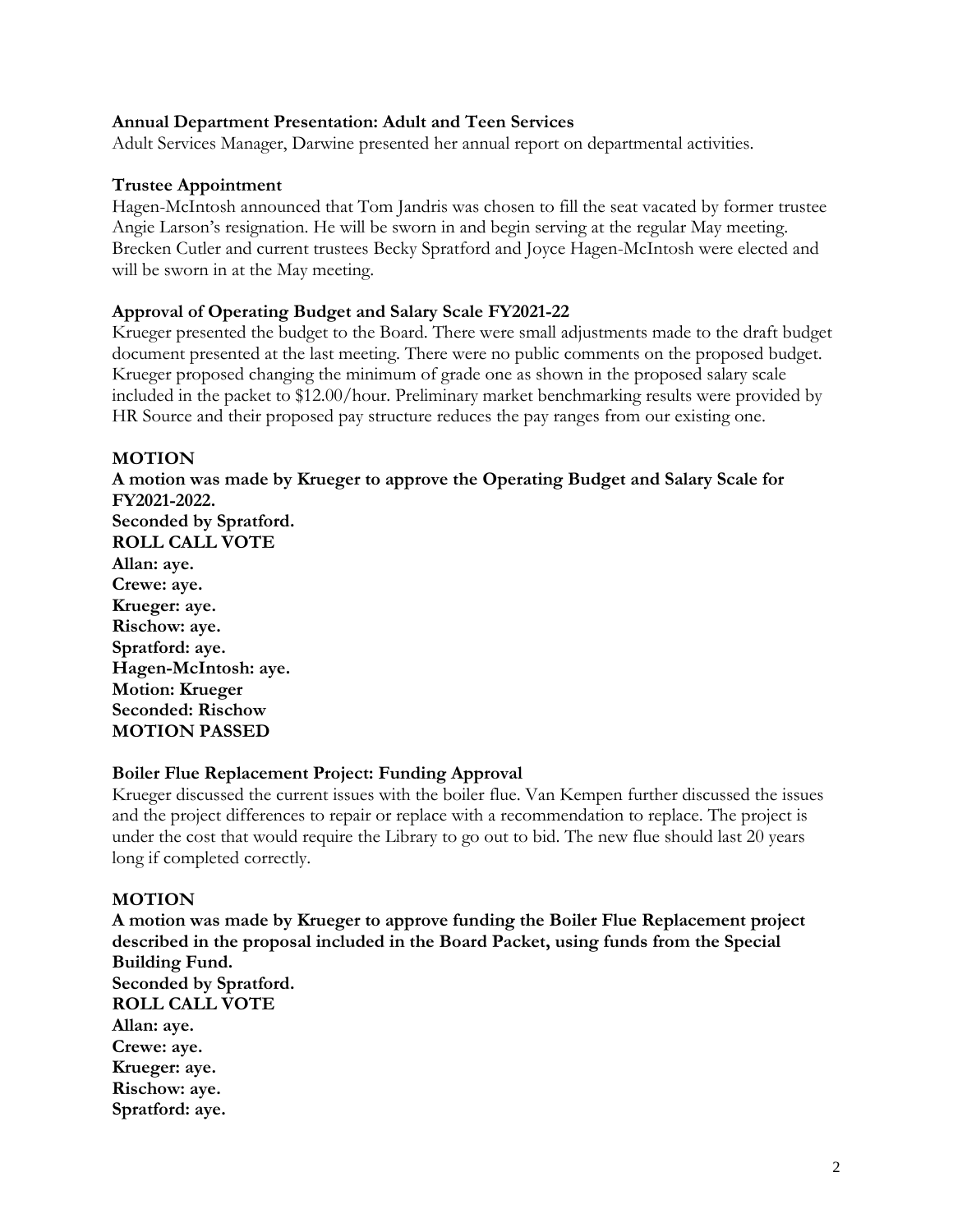#### **Annual Department Presentation: Adult and Teen Services**

Adult Services Manager, Darwine presented her annual report on departmental activities.

#### **Trustee Appointment**

Hagen-McIntosh announced that Tom Jandris was chosen to fill the seat vacated by former trustee Angie Larson's resignation. He will be sworn in and begin serving at the regular May meeting. Brecken Cutler and current trustees Becky Spratford and Joyce Hagen-McIntosh were elected and will be sworn in at the May meeting.

### **Approval of Operating Budget and Salary Scale FY2021-22**

Krueger presented the budget to the Board. There were small adjustments made to the draft budget document presented at the last meeting. There were no public comments on the proposed budget. Krueger proposed changing the minimum of grade one as shown in the proposed salary scale included in the packet to \$12.00/hour. Preliminary market benchmarking results were provided by HR Source and their proposed pay structure reduces the pay ranges from our existing one.

### **MOTION**

**A motion was made by Krueger to approve the Operating Budget and Salary Scale for FY2021-2022. Seconded by Spratford. ROLL CALL VOTE Allan: aye. Crewe: aye. Krueger: aye. Rischow: aye. Spratford: aye. Hagen-McIntosh: aye. Motion: Krueger Seconded: Rischow MOTION PASSED**

#### **Boiler Flue Replacement Project: Funding Approval**

Krueger discussed the current issues with the boiler flue. Van Kempen further discussed the issues and the project differences to repair or replace with a recommendation to replace. The project is under the cost that would require the Library to go out to bid. The new flue should last 20 years long if completed correctly.

### **MOTION**

**A motion was made by Krueger to approve funding the Boiler Flue Replacement project described in the proposal included in the Board Packet, using funds from the Special Building Fund. Seconded by Spratford. ROLL CALL VOTE Allan: aye. Crewe: aye. Krueger: aye. Rischow: aye. Spratford: aye.**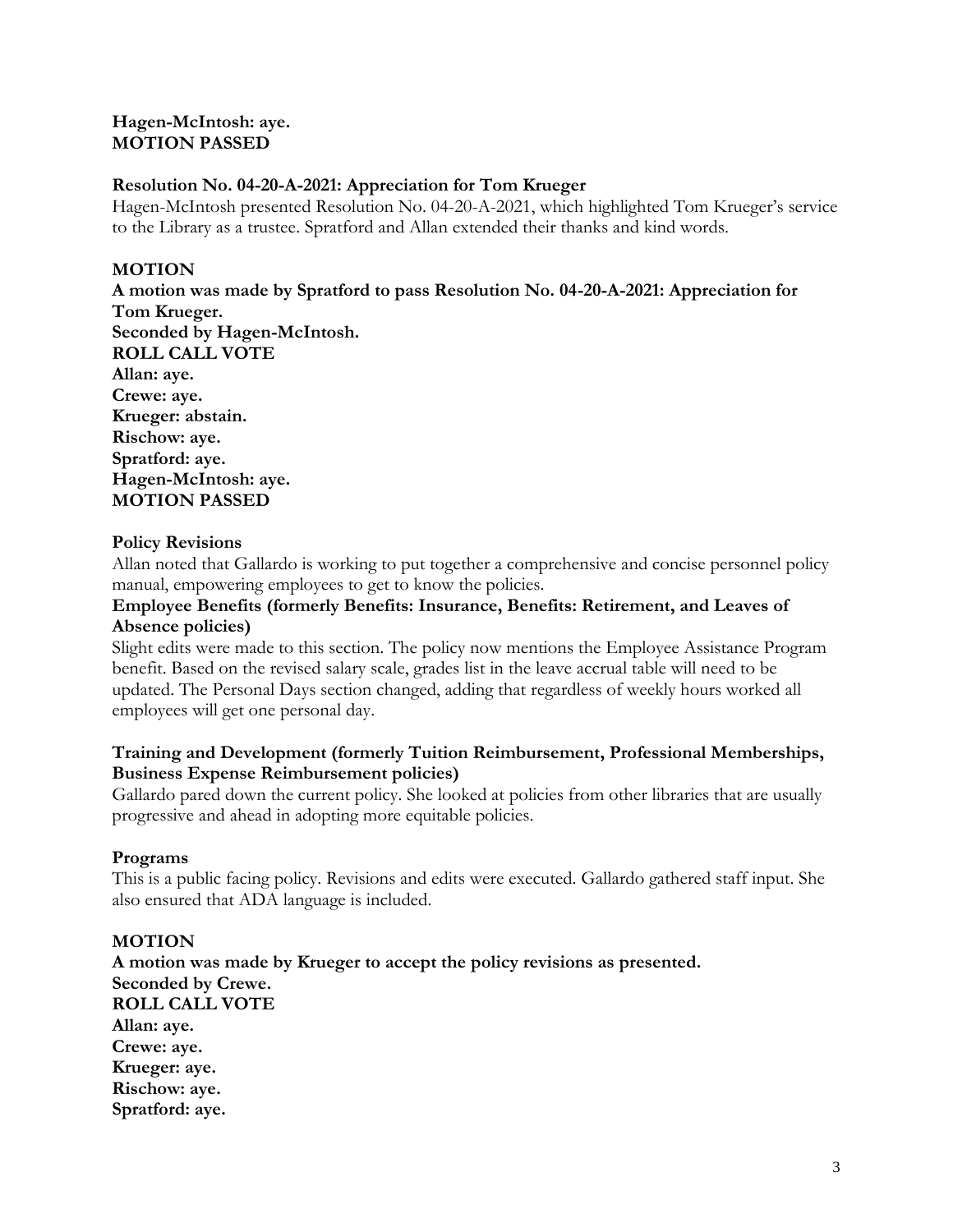## **Hagen-McIntosh: aye. MOTION PASSED**

# **Resolution No. 04-20-A-2021: Appreciation for Tom Krueger**

Hagen-McIntosh presented Resolution No. 04-20-A-2021, which highlighted Tom Krueger's service to the Library as a trustee. Spratford and Allan extended their thanks and kind words.

# **MOTION**

**A motion was made by Spratford to pass Resolution No. 04-20-A-2021: Appreciation for Tom Krueger. Seconded by Hagen-McIntosh. ROLL CALL VOTE Allan: aye. Crewe: aye. Krueger: abstain. Rischow: aye. Spratford: aye. Hagen-McIntosh: aye. MOTION PASSED**

# **Policy Revisions**

Allan noted that Gallardo is working to put together a comprehensive and concise personnel policy manual, empowering employees to get to know the policies.

### **Employee Benefits (formerly Benefits: Insurance, Benefits: Retirement, and Leaves of Absence policies)**

Slight edits were made to this section. The policy now mentions the Employee Assistance Program benefit. Based on the revised salary scale, grades list in the leave accrual table will need to be updated. The Personal Days section changed, adding that regardless of weekly hours worked all employees will get one personal day.

# **Training and Development (formerly Tuition Reimbursement, Professional Memberships, Business Expense Reimbursement policies)**

Gallardo pared down the current policy. She looked at policies from other libraries that are usually progressive and ahead in adopting more equitable policies.

# **Programs**

This is a public facing policy. Revisions and edits were executed. Gallardo gathered staff input. She also ensured that ADA language is included.

# **MOTION**

**A motion was made by Krueger to accept the policy revisions as presented. Seconded by Crewe. ROLL CALL VOTE Allan: aye. Crewe: aye. Krueger: aye. Rischow: aye. Spratford: aye.**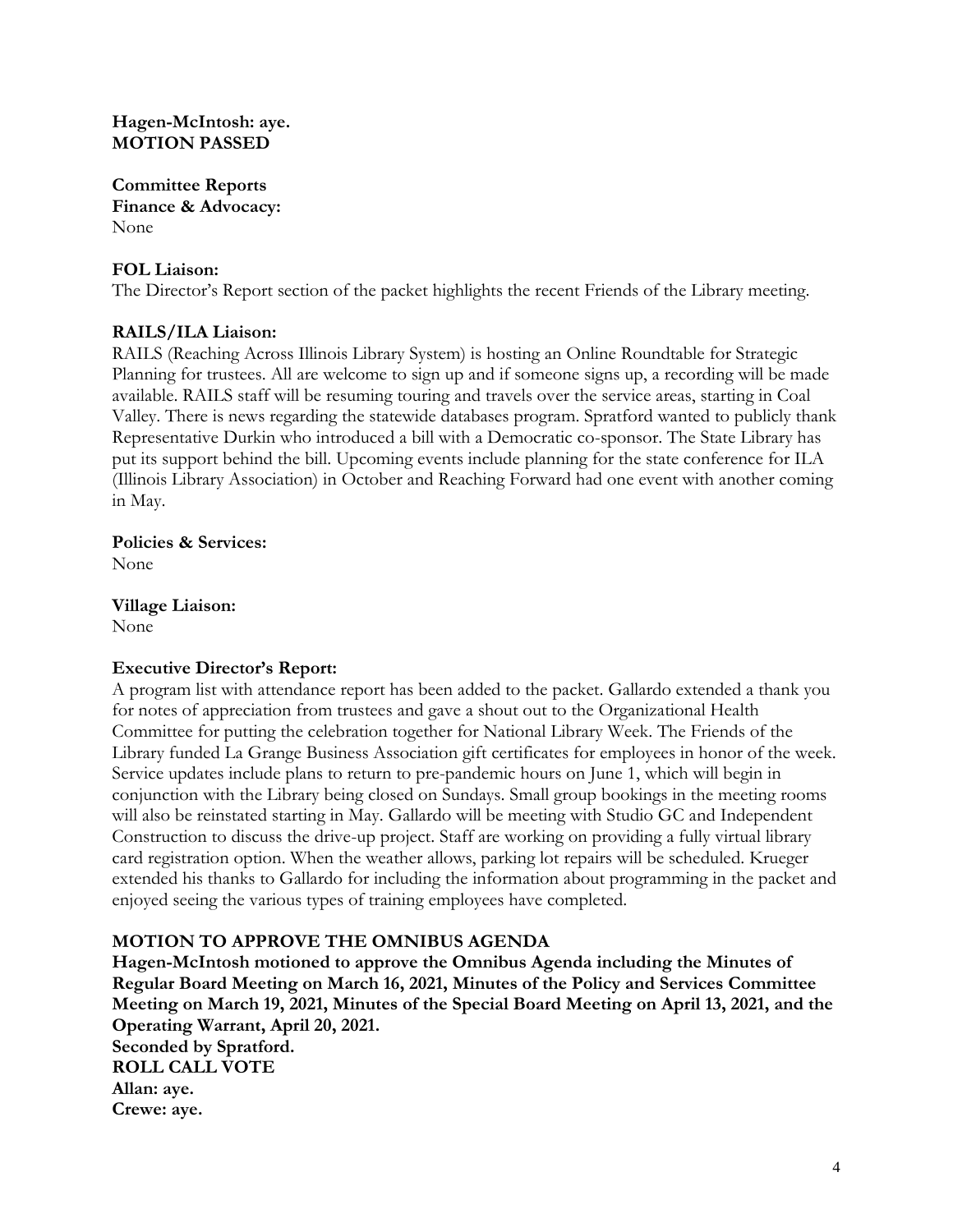### **Hagen-McIntosh: aye. MOTION PASSED**

**Committee Reports Finance & Advocacy:** None

### **FOL Liaison:**

The Director's Report section of the packet highlights the recent Friends of the Library meeting.

# **RAILS/ILA Liaison:**

RAILS (Reaching Across Illinois Library System) is hosting an Online Roundtable for Strategic Planning for trustees. All are welcome to sign up and if someone signs up, a recording will be made available. RAILS staff will be resuming touring and travels over the service areas, starting in Coal Valley. There is news regarding the statewide databases program. Spratford wanted to publicly thank Representative Durkin who introduced a bill with a Democratic co-sponsor. The State Library has put its support behind the bill. Upcoming events include planning for the state conference for ILA (Illinois Library Association) in October and Reaching Forward had one event with another coming in May.

**Policies & Services:**  None

**Village Liaison:**  None

### **Executive Director's Report:**

A program list with attendance report has been added to the packet. Gallardo extended a thank you for notes of appreciation from trustees and gave a shout out to the Organizational Health Committee for putting the celebration together for National Library Week. The Friends of the Library funded La Grange Business Association gift certificates for employees in honor of the week. Service updates include plans to return to pre-pandemic hours on June 1, which will begin in conjunction with the Library being closed on Sundays. Small group bookings in the meeting rooms will also be reinstated starting in May. Gallardo will be meeting with Studio GC and Independent Construction to discuss the drive-up project. Staff are working on providing a fully virtual library card registration option. When the weather allows, parking lot repairs will be scheduled. Krueger extended his thanks to Gallardo for including the information about programming in the packet and enjoyed seeing the various types of training employees have completed.

# **MOTION TO APPROVE THE OMNIBUS AGENDA**

**Hagen-McIntosh motioned to approve the Omnibus Agenda including the Minutes of Regular Board Meeting on March 16, 2021, Minutes of the Policy and Services Committee Meeting on March 19, 2021, Minutes of the Special Board Meeting on April 13, 2021, and the Operating Warrant, April 20, 2021. Seconded by Spratford. ROLL CALL VOTE Allan: aye. Crewe: aye.**